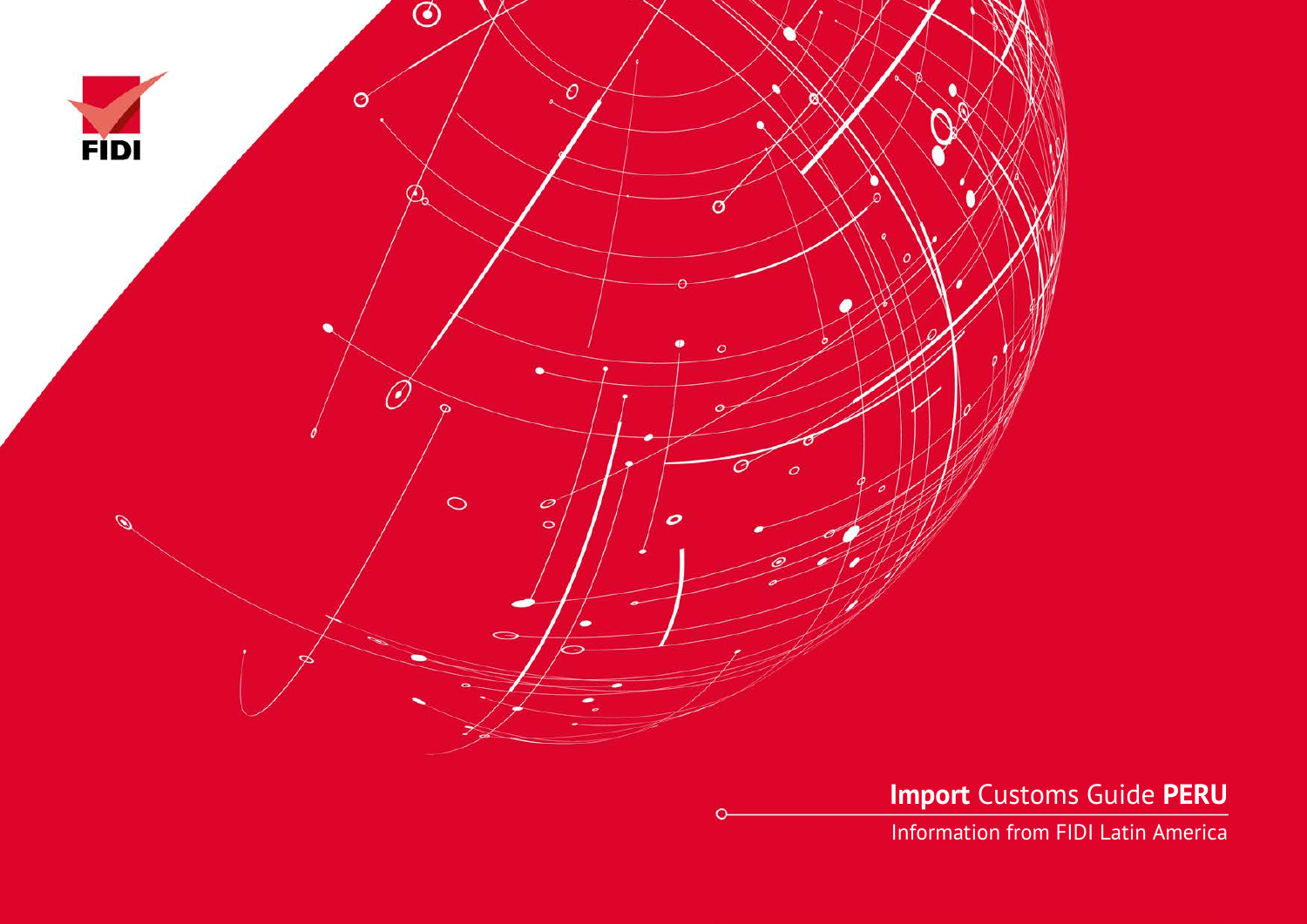

**Import** Customs Guide **PERU**

Information from FIDI Latin America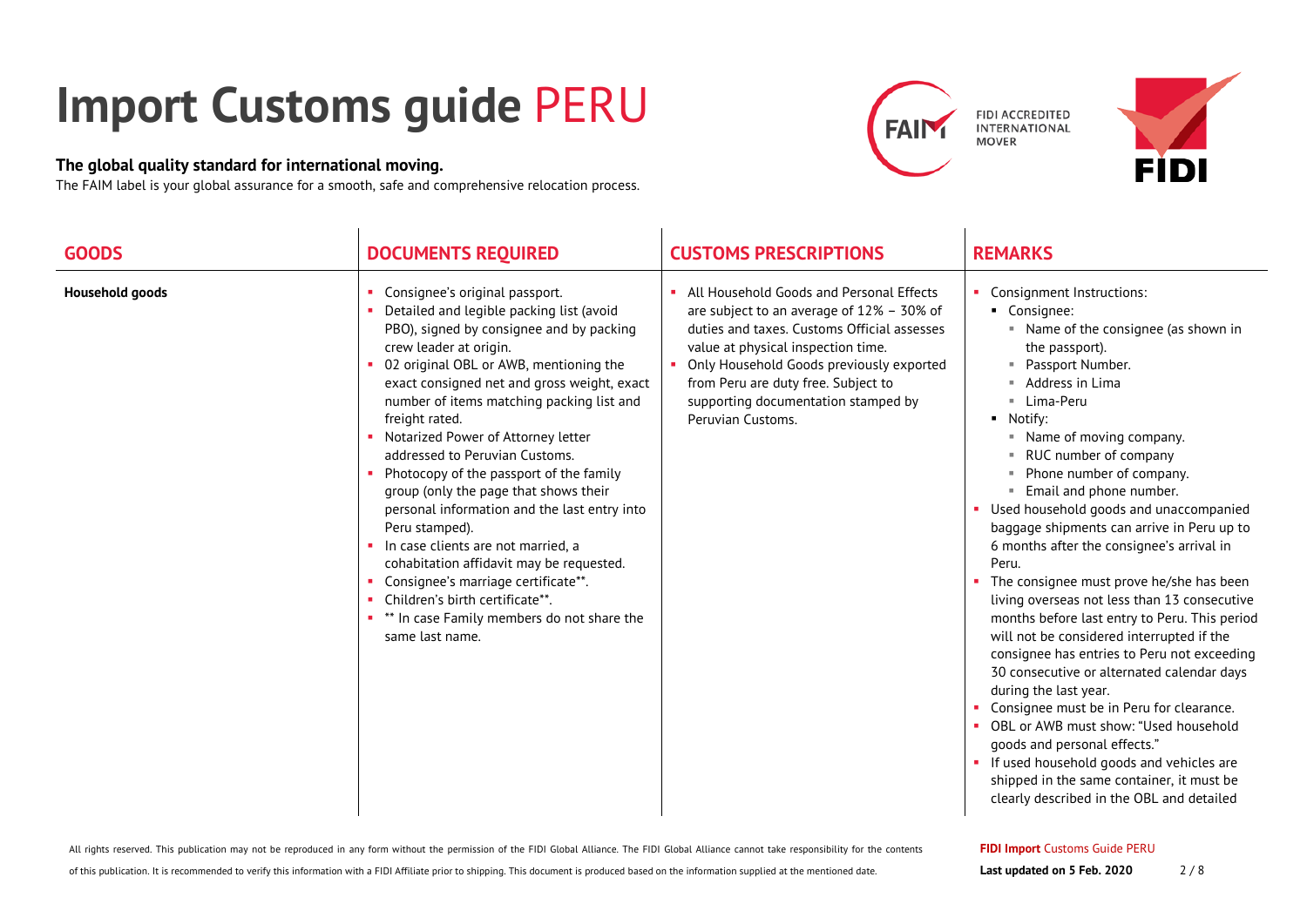## **Import Customs guide** PERU

## **The global quality standard for international moving.**

The FAIM label is your global assurance for a smooth, safe and comprehensive relocation process.





| <b>GOODS</b>           | <b>DOCUMENTS REQUIRED</b>                                                                                                                                                                                                                                                                                                                                                                                                                                                                                                                                                                                                                                                                                                                                                 | <b>CUSTOMS PRESCRIPTIONS</b>                                                                                                                                                                                                                                                                                                 | <b>REMARKS</b>                                                                                                                                                                                                                                                                                                                                                                                                                                                                                                                                                                                                                                                                                                                                                                                                                                                                                                                                                                                                     |
|------------------------|---------------------------------------------------------------------------------------------------------------------------------------------------------------------------------------------------------------------------------------------------------------------------------------------------------------------------------------------------------------------------------------------------------------------------------------------------------------------------------------------------------------------------------------------------------------------------------------------------------------------------------------------------------------------------------------------------------------------------------------------------------------------------|------------------------------------------------------------------------------------------------------------------------------------------------------------------------------------------------------------------------------------------------------------------------------------------------------------------------------|--------------------------------------------------------------------------------------------------------------------------------------------------------------------------------------------------------------------------------------------------------------------------------------------------------------------------------------------------------------------------------------------------------------------------------------------------------------------------------------------------------------------------------------------------------------------------------------------------------------------------------------------------------------------------------------------------------------------------------------------------------------------------------------------------------------------------------------------------------------------------------------------------------------------------------------------------------------------------------------------------------------------|
| <b>Household goods</b> | Consignee's original passport.<br>Detailed and legible packing list (avoid<br>PBO), signed by consignee and by packing<br>crew leader at origin.<br>02 original OBL or AWB, mentioning the<br>exact consigned net and gross weight, exact<br>number of items matching packing list and<br>freight rated.<br>Notarized Power of Attorney letter<br>addressed to Peruvian Customs.<br>Photocopy of the passport of the family<br>group (only the page that shows their<br>personal information and the last entry into<br>Peru stamped).<br>In case clients are not married, a<br>cohabitation affidavit may be requested.<br>Consignee's marriage certificate**.<br>Children's birth certificate**.<br>×.<br>** In case Family members do not share the<br>same last name. | All Household Goods and Personal Effects<br>are subject to an average of $12\%$ – 30% of<br>duties and taxes. Customs Official assesses<br>value at physical inspection time.<br>Only Household Goods previously exported<br>from Peru are duty free. Subject to<br>supporting documentation stamped by<br>Peruvian Customs. | Consignment Instructions:<br>• Consignee:<br>• Name of the consignee (as shown in<br>the passport).<br>Passport Number.<br>Address in Lima<br>■ Lima-Peru<br>• Notify:<br>" Name of moving company.<br>RUC number of company<br>Phone number of company.<br>" Email and phone number.<br>• Used household goods and unaccompanied<br>baggage shipments can arrive in Peru up to<br>6 months after the consignee's arrival in<br>Peru.<br>The consignee must prove he/she has been<br>living overseas not less than 13 consecutive<br>months before last entry to Peru. This period<br>will not be considered interrupted if the<br>consignee has entries to Peru not exceeding<br>30 consecutive or alternated calendar days<br>during the last year.<br>Consignee must be in Peru for clearance.<br>OBL or AWB must show: "Used household<br>goods and personal effects."<br>• If used household goods and vehicles are<br>shipped in the same container, it must be<br>clearly described in the OBL and detailed |

## **FIDI Import** Customs Guide PERU

of this publication. It is recommended to verify this information with a FIDI Affiliate prior to shipping. This document is produced based on the information supplied at the mentioned date.

All rights reserved. This publication may not be reproduced in any form without the permission of the FIDI Global Alliance. The FIDI Global Alliance cannot take responsibility for the contents

**Last updated on 5 Feb. 2020** 2 / 8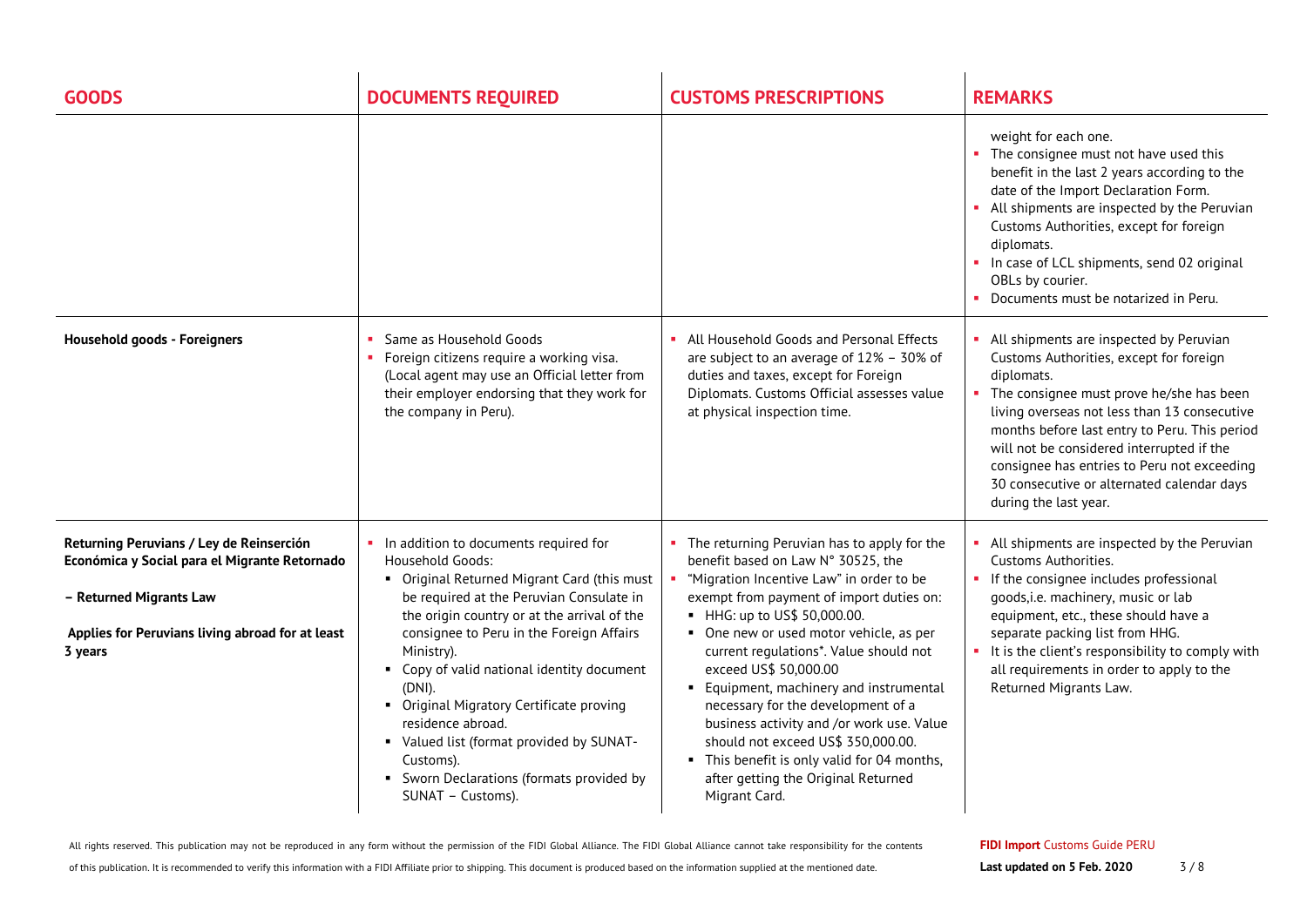| <b>GOODS</b>                                                                                                                                                                        | <b>DOCUMENTS REQUIRED</b>                                                                                                                                                                                                                                                                                                                                                                                                                                                                                                   | <b>CUSTOMS PRESCRIPTIONS</b>                                                                                                                                                                                                                                                                                                                                                                                                                                                                                                                                                                         | <b>REMARKS</b>                                                                                                                                                                                                                                                                                                                                                                                                       |
|-------------------------------------------------------------------------------------------------------------------------------------------------------------------------------------|-----------------------------------------------------------------------------------------------------------------------------------------------------------------------------------------------------------------------------------------------------------------------------------------------------------------------------------------------------------------------------------------------------------------------------------------------------------------------------------------------------------------------------|------------------------------------------------------------------------------------------------------------------------------------------------------------------------------------------------------------------------------------------------------------------------------------------------------------------------------------------------------------------------------------------------------------------------------------------------------------------------------------------------------------------------------------------------------------------------------------------------------|----------------------------------------------------------------------------------------------------------------------------------------------------------------------------------------------------------------------------------------------------------------------------------------------------------------------------------------------------------------------------------------------------------------------|
|                                                                                                                                                                                     |                                                                                                                                                                                                                                                                                                                                                                                                                                                                                                                             |                                                                                                                                                                                                                                                                                                                                                                                                                                                                                                                                                                                                      | weight for each one.<br>• The consignee must not have used this<br>benefit in the last 2 years according to the<br>date of the Import Declaration Form.<br>• All shipments are inspected by the Peruvian<br>Customs Authorities, except for foreign<br>diplomats.<br>In case of LCL shipments, send 02 original<br>OBLs by courier.<br>Documents must be notarized in Peru.                                          |
| <b>Household goods - Foreigners</b>                                                                                                                                                 | Same as Household Goods<br>• Foreign citizens require a working visa.<br>(Local agent may use an Official letter from<br>their employer endorsing that they work for<br>the company in Peru).                                                                                                                                                                                                                                                                                                                               | All Household Goods and Personal Effects<br>are subject to an average of 12% - 30% of<br>duties and taxes, except for Foreign<br>Diplomats. Customs Official assesses value<br>at physical inspection time.                                                                                                                                                                                                                                                                                                                                                                                          | • All shipments are inspected by Peruvian<br>Customs Authorities, except for foreign<br>diplomats.<br>• The consignee must prove he/she has been<br>living overseas not less than 13 consecutive<br>months before last entry to Peru. This period<br>will not be considered interrupted if the<br>consignee has entries to Peru not exceeding<br>30 consecutive or alternated calendar days<br>during the last year. |
| Returning Peruvians / Ley de Reinserción<br>Económica y Social para el Migrante Retornado<br>- Returned Migrants Law<br>Applies for Peruvians living abroad for at least<br>3 years | In addition to documents required for<br><b>Household Goods:</b><br>• Original Returned Migrant Card (this must<br>be required at the Peruvian Consulate in<br>the origin country or at the arrival of the<br>consignee to Peru in the Foreign Affairs<br>Ministry).<br>• Copy of valid national identity document<br>$(DNI)$ .<br>• Original Migratory Certificate proving<br>residence abroad.<br>• Valued list (format provided by SUNAT-<br>Customs).<br>• Sworn Declarations (formats provided by<br>SUNAT - Customs). | • The returning Peruvian has to apply for the<br>benefit based on Law N° 30525, the<br>"Migration Incentive Law" in order to be<br>exempt from payment of import duties on:<br>• HHG: up to US\$ 50,000.00.<br>• One new or used motor vehicle, as per<br>current regulations*. Value should not<br>exceed US\$ 50,000.00<br>• Equipment, machinery and instrumental<br>necessary for the development of a<br>business activity and /or work use. Value<br>should not exceed US\$ 350,000.00.<br>• This benefit is only valid for 04 months,<br>after getting the Original Returned<br>Migrant Card. | All shipments are inspected by the Peruvian<br>Customs Authorities.<br>• If the consignee includes professional<br>goods, i.e. machinery, music or lab<br>equipment, etc., these should have a<br>separate packing list from HHG.<br>• It is the client's responsibility to comply with<br>all requirements in order to apply to the<br>Returned Migrants Law.                                                       |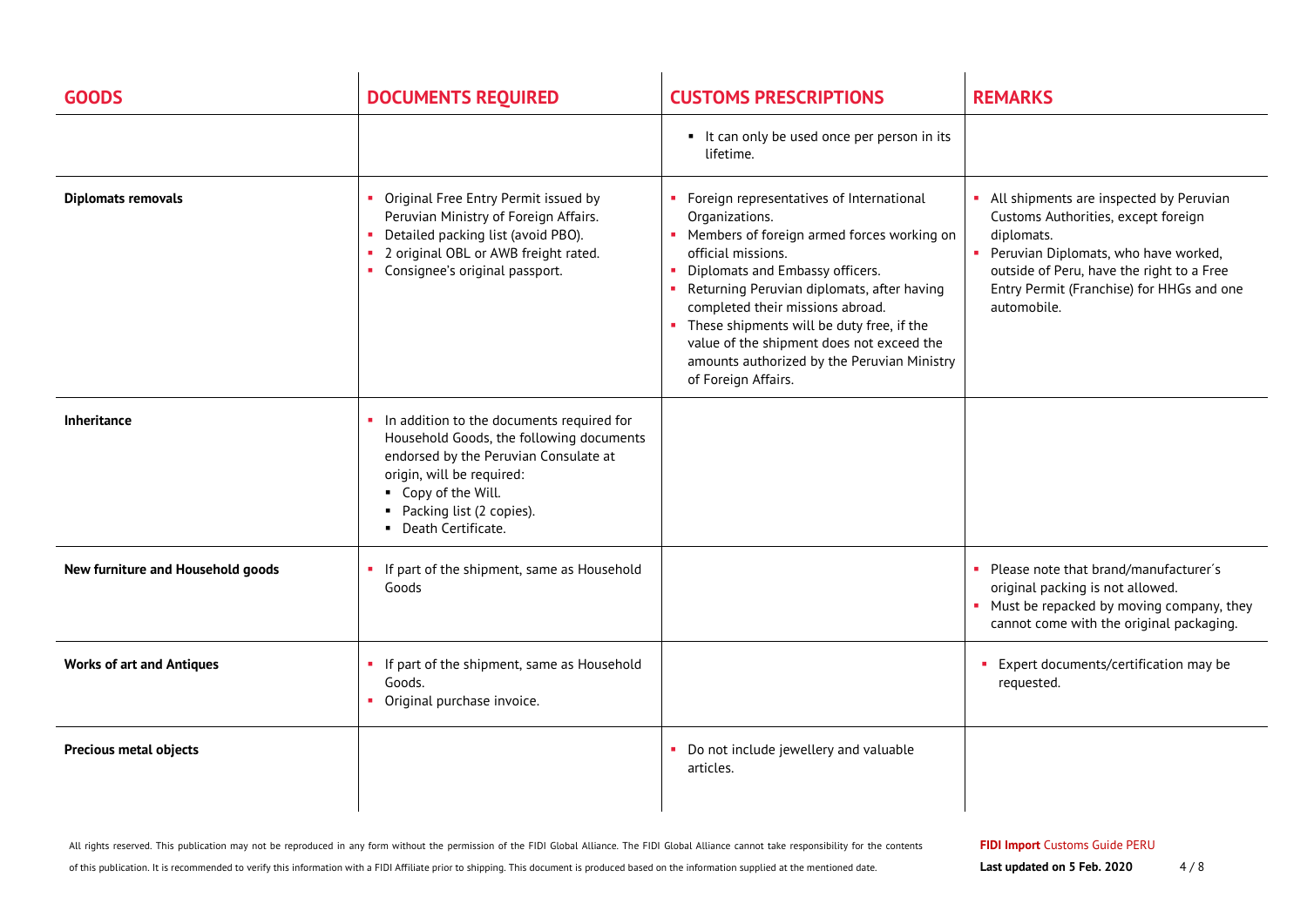| <b>GOODS</b>                      | <b>DOCUMENTS REQUIRED</b>                                                                                                                                                                                                                | <b>CUSTOMS PRESCRIPTIONS</b>                                                                                                                                                                                                                                                                                                                                                                                            | <b>REMARKS</b>                                                                                                                                                                                                                                  |
|-----------------------------------|------------------------------------------------------------------------------------------------------------------------------------------------------------------------------------------------------------------------------------------|-------------------------------------------------------------------------------------------------------------------------------------------------------------------------------------------------------------------------------------------------------------------------------------------------------------------------------------------------------------------------------------------------------------------------|-------------------------------------------------------------------------------------------------------------------------------------------------------------------------------------------------------------------------------------------------|
|                                   |                                                                                                                                                                                                                                          | • It can only be used once per person in its<br>lifetime.                                                                                                                                                                                                                                                                                                                                                               |                                                                                                                                                                                                                                                 |
| <b>Diplomats removals</b>         | • Original Free Entry Permit issued by<br>Peruvian Ministry of Foreign Affairs.<br>Detailed packing list (avoid PBO).<br>2 original OBL or AWB freight rated.<br>• Consignee's original passport.                                        | • Foreign representatives of International<br>Organizations.<br>• Members of foreign armed forces working on<br>official missions.<br>Diplomats and Embassy officers.<br>Returning Peruvian diplomats, after having<br>completed their missions abroad.<br>These shipments will be duty free, if the<br>value of the shipment does not exceed the<br>amounts authorized by the Peruvian Ministry<br>of Foreign Affairs. | • All shipments are inspected by Peruvian<br>Customs Authorities, except foreign<br>diplomats.<br>Peruvian Diplomats, who have worked,<br>outside of Peru, have the right to a Free<br>Entry Permit (Franchise) for HHGs and one<br>automobile. |
| Inheritance                       | In addition to the documents required for<br>Household Goods, the following documents<br>endorsed by the Peruvian Consulate at<br>origin, will be required:<br>• Copy of the Will.<br>• Packing list (2 copies).<br>• Death Certificate. |                                                                                                                                                                                                                                                                                                                                                                                                                         |                                                                                                                                                                                                                                                 |
| New furniture and Household goods | If part of the shipment, same as Household<br>Goods                                                                                                                                                                                      |                                                                                                                                                                                                                                                                                                                                                                                                                         | Please note that brand/manufacturer's<br>original packing is not allowed.<br>• Must be repacked by moving company, they<br>cannot come with the original packaging.                                                                             |
| <b>Works of art and Antiques</b>  | If part of the shipment, same as Household<br>Goods.<br>• Original purchase invoice.                                                                                                                                                     |                                                                                                                                                                                                                                                                                                                                                                                                                         | • Expert documents/certification may be<br>requested.                                                                                                                                                                                           |
| <b>Precious metal objects</b>     |                                                                                                                                                                                                                                          | • Do not include jewellery and valuable<br>articles.                                                                                                                                                                                                                                                                                                                                                                    |                                                                                                                                                                                                                                                 |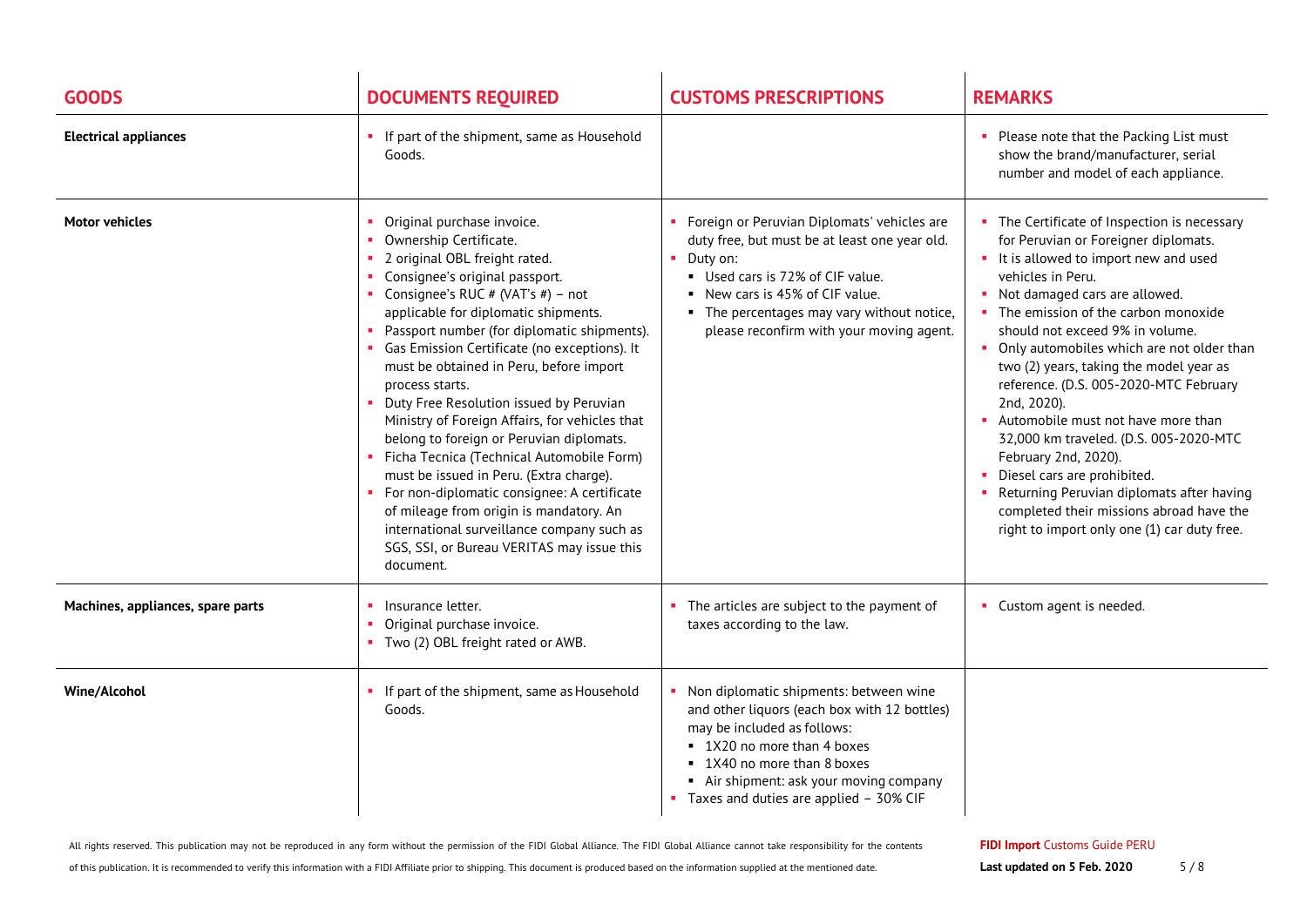| <b>GOODS</b>                      | <b>DOCUMENTS REQUIRED</b>                                                                                                                                                                                                                                                                                                                                                                                                                                                                                                                                                                                                                                                                                                                                                                                 | <b>CUSTOMS PRESCRIPTIONS</b>                                                                                                                                                                                                                                                           | <b>REMARKS</b>                                                                                                                                                                                                                                                                                                                                                                                                                                                                                                                                                                                                                                                                                           |
|-----------------------------------|-----------------------------------------------------------------------------------------------------------------------------------------------------------------------------------------------------------------------------------------------------------------------------------------------------------------------------------------------------------------------------------------------------------------------------------------------------------------------------------------------------------------------------------------------------------------------------------------------------------------------------------------------------------------------------------------------------------------------------------------------------------------------------------------------------------|----------------------------------------------------------------------------------------------------------------------------------------------------------------------------------------------------------------------------------------------------------------------------------------|----------------------------------------------------------------------------------------------------------------------------------------------------------------------------------------------------------------------------------------------------------------------------------------------------------------------------------------------------------------------------------------------------------------------------------------------------------------------------------------------------------------------------------------------------------------------------------------------------------------------------------------------------------------------------------------------------------|
| <b>Electrical appliances</b>      | If part of the shipment, same as Household<br>Goods.                                                                                                                                                                                                                                                                                                                                                                                                                                                                                                                                                                                                                                                                                                                                                      |                                                                                                                                                                                                                                                                                        | • Please note that the Packing List must<br>show the brand/manufacturer, serial<br>number and model of each appliance.                                                                                                                                                                                                                                                                                                                                                                                                                                                                                                                                                                                   |
| <b>Motor vehicles</b>             | Original purchase invoice.<br>Ownership Certificate.<br>2 original OBL freight rated.<br>Consignee's original passport.<br>• Consignee's RUC # (VAT's #) – not<br>applicable for diplomatic shipments.<br>Passport number (for diplomatic shipments).<br>• Gas Emission Certificate (no exceptions). It<br>must be obtained in Peru, before import<br>process starts.<br>Duty Free Resolution issued by Peruvian<br>Ministry of Foreign Affairs, for vehicles that<br>belong to foreign or Peruvian diplomats.<br>Ficha Tecnica (Technical Automobile Form)<br>must be issued in Peru. (Extra charge).<br>For non-diplomatic consignee: A certificate<br>of mileage from origin is mandatory. An<br>international surveillance company such as<br>SGS, SSI, or Bureau VERITAS may issue this<br>document. | • Foreign or Peruvian Diplomats' vehicles are<br>duty free, but must be at least one year old.<br>$\blacksquare$ Duty on:<br>Used cars is 72% of CIF value.<br>New cars is 45% of CIF value.<br>• The percentages may vary without notice,<br>please reconfirm with your moving agent. | • The Certificate of Inspection is necessary<br>for Peruvian or Foreigner diplomats.<br>• It is allowed to import new and used<br>vehicles in Peru.<br>• Not damaged cars are allowed.<br>• The emission of the carbon monoxide<br>should not exceed 9% in volume.<br>• Only automobiles which are not older than<br>two (2) years, taking the model year as<br>reference. (D.S. 005-2020-MTC February<br>2nd, 2020).<br>Automobile must not have more than<br>32,000 km traveled. (D.S. 005-2020-MTC<br>February 2nd, 2020).<br>• Diesel cars are prohibited.<br>• Returning Peruvian diplomats after having<br>completed their missions abroad have the<br>right to import only one (1) car duty free. |
| Machines, appliances, spare parts | Insurance letter.<br>Original purchase invoice.<br>Two (2) OBL freight rated or AWB.                                                                                                                                                                                                                                                                                                                                                                                                                                                                                                                                                                                                                                                                                                                      | The articles are subject to the payment of<br>taxes according to the law.                                                                                                                                                                                                              | • Custom agent is needed.                                                                                                                                                                                                                                                                                                                                                                                                                                                                                                                                                                                                                                                                                |
| <b>Wine/Alcohol</b>               | If part of the shipment, same as Household<br>Goods.                                                                                                                                                                                                                                                                                                                                                                                                                                                                                                                                                                                                                                                                                                                                                      | Non diplomatic shipments: between wine<br>and other liquors (each box with 12 bottles)<br>may be included as follows:<br>• 1X20 no more than 4 boxes<br>■ 1X40 no more than 8 boxes<br>Air shipment: ask your moving company<br>• Taxes and duties are applied - 30% CIF               |                                                                                                                                                                                                                                                                                                                                                                                                                                                                                                                                                                                                                                                                                                          |

All rights reserved. This publication may not be reproduced in any form without the permission of the FIDI Global Alliance. The FIDI Global Alliance cannot take responsibility for the contents

of this publication. It is recommended to verify this information with a FIDI Affiliate prior to shipping. This document is produced based on the information supplied at the mentioned date.

**FIDI Import** Customs Guide PERU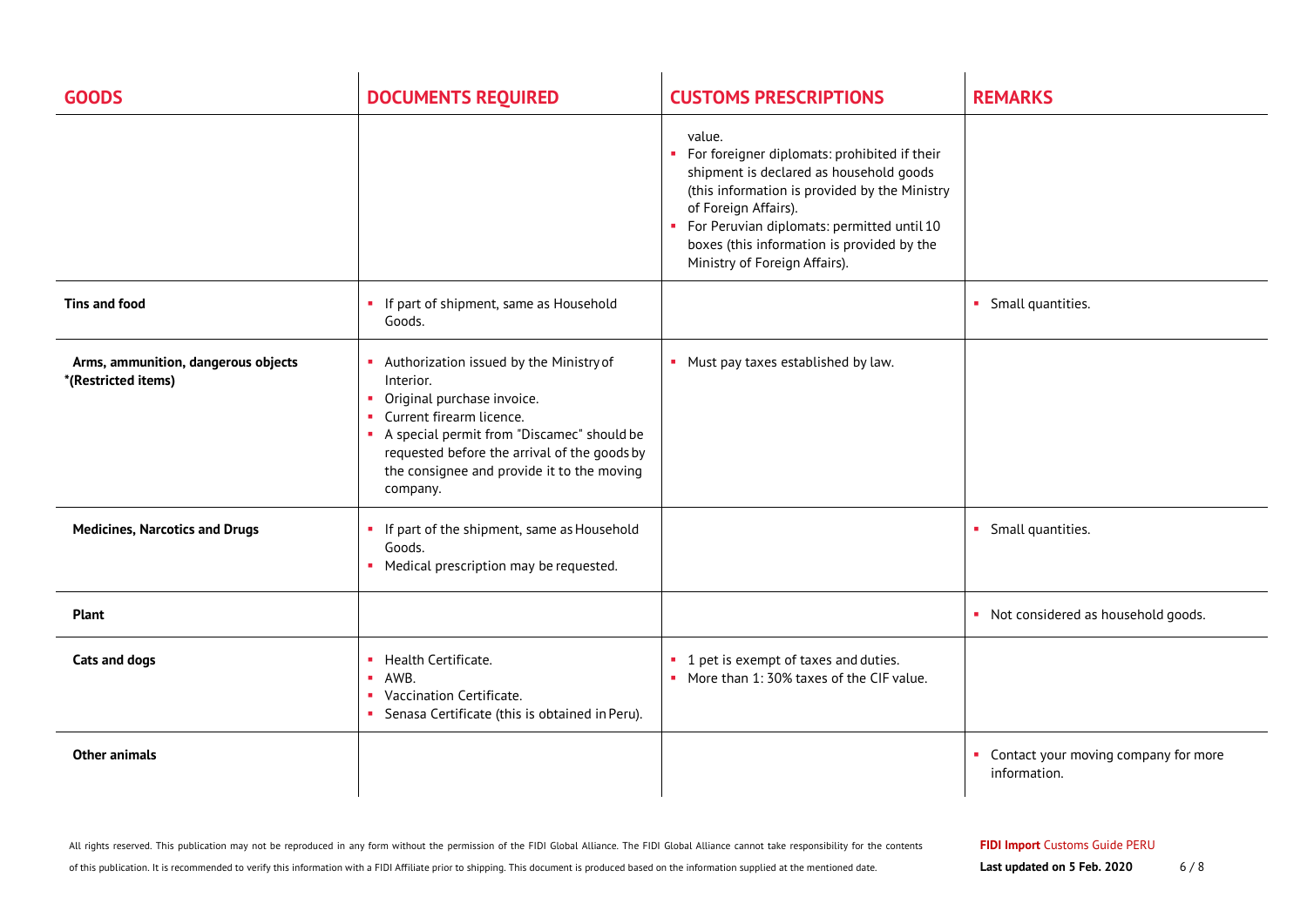| <b>GOODS</b>                                               | <b>DOCUMENTS REQUIRED</b>                                                                                                                                                                                                                                                   | <b>CUSTOMS PRESCRIPTIONS</b>                                                                                                                                                                                                                                                                            | <b>REMARKS</b>                                         |
|------------------------------------------------------------|-----------------------------------------------------------------------------------------------------------------------------------------------------------------------------------------------------------------------------------------------------------------------------|---------------------------------------------------------------------------------------------------------------------------------------------------------------------------------------------------------------------------------------------------------------------------------------------------------|--------------------------------------------------------|
|                                                            |                                                                                                                                                                                                                                                                             | value.<br>For foreigner diplomats: prohibited if their<br>shipment is declared as household goods<br>(this information is provided by the Ministry<br>of Foreign Affairs).<br>For Peruvian diplomats: permitted until 10<br>boxes (this information is provided by the<br>Ministry of Foreign Affairs). |                                                        |
| Tins and food                                              | If part of shipment, same as Household<br>Goods.                                                                                                                                                                                                                            |                                                                                                                                                                                                                                                                                                         | • Small quantities.                                    |
| Arms, ammunition, dangerous objects<br>*(Restricted items) | Authorization issued by the Ministry of<br>Interior.<br>Original purchase invoice.<br>٠<br>Current firearm licence.<br>A special permit from "Discamec" should be<br>requested before the arrival of the goods by<br>the consignee and provide it to the moving<br>company. | • Must pay taxes established by law.                                                                                                                                                                                                                                                                    |                                                        |
| <b>Medicines, Narcotics and Drugs</b>                      | • If part of the shipment, same as Household<br>Goods.<br>Medical prescription may be requested.                                                                                                                                                                            |                                                                                                                                                                                                                                                                                                         | • Small quantities.                                    |
| <b>Plant</b>                                               |                                                                                                                                                                                                                                                                             |                                                                                                                                                                                                                                                                                                         | • Not considered as household goods.                   |
| Cats and dogs                                              | Health Certificate.<br>$\blacksquare$ AWB.<br>Vaccination Certificate.<br>Senasa Certificate (this is obtained in Peru).                                                                                                                                                    | • 1 pet is exempt of taxes and duties.<br>• More than 1:30% taxes of the CIF value.                                                                                                                                                                                                                     |                                                        |
| <b>Other animals</b>                                       |                                                                                                                                                                                                                                                                             |                                                                                                                                                                                                                                                                                                         | • Contact your moving company for more<br>information. |

of this publication. It is recommended to verify this information with a FIDI Affiliate prior to shipping. This document is produced based on the information supplied at the mentioned date.

**Last updated on 5 Feb. 2020** 6/8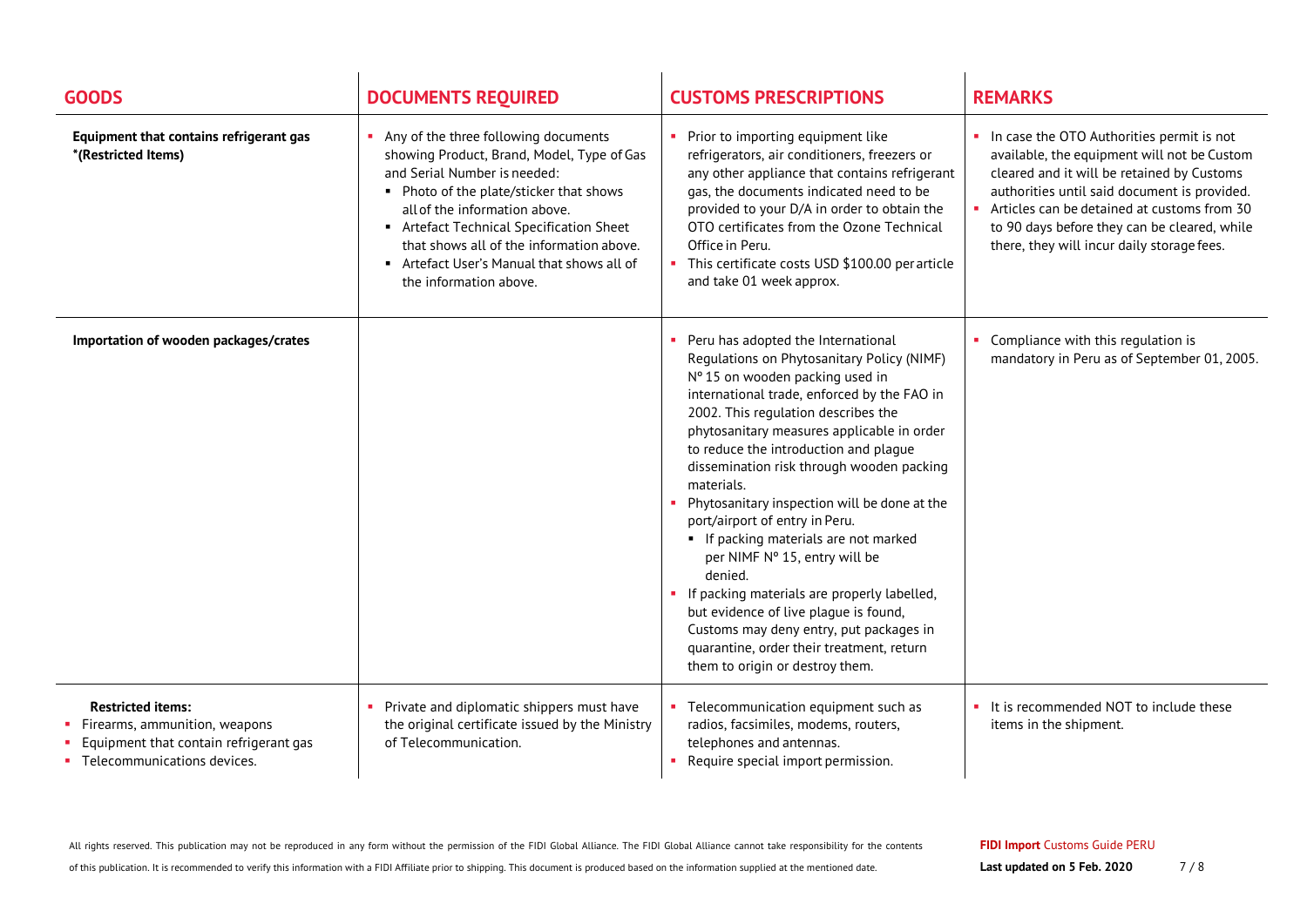| <b>GOODS</b>                                                                                                                       | <b>DOCUMENTS REQUIRED</b>                                                                                                                                                                                                                                                                                                                                    | <b>CUSTOMS PRESCRIPTIONS</b>                                                                                                                                                                                                                                                                                                                                                                                                                                                                                                                                                                                                                                                                                                                            | <b>REMARKS</b>                                                                                                                                                                                                                                                                                                                        |
|------------------------------------------------------------------------------------------------------------------------------------|--------------------------------------------------------------------------------------------------------------------------------------------------------------------------------------------------------------------------------------------------------------------------------------------------------------------------------------------------------------|---------------------------------------------------------------------------------------------------------------------------------------------------------------------------------------------------------------------------------------------------------------------------------------------------------------------------------------------------------------------------------------------------------------------------------------------------------------------------------------------------------------------------------------------------------------------------------------------------------------------------------------------------------------------------------------------------------------------------------------------------------|---------------------------------------------------------------------------------------------------------------------------------------------------------------------------------------------------------------------------------------------------------------------------------------------------------------------------------------|
| Equipment that contains refrigerant gas<br>*(Restricted Items)                                                                     | • Any of the three following documents<br>showing Product, Brand, Model, Type of Gas<br>and Serial Number is needed:<br>• Photo of the plate/sticker that shows<br>all of the information above.<br>Artefact Technical Specification Sheet<br>that shows all of the information above.<br>Artefact User's Manual that shows all of<br>the information above. | Prior to importing equipment like<br>refrigerators, air conditioners, freezers or<br>any other appliance that contains refrigerant<br>gas, the documents indicated need to be<br>provided to your D/A in order to obtain the<br>OTO certificates from the Ozone Technical<br>Office in Peru.<br>This certificate costs USD \$100.00 per article<br>and take 01 week approx.                                                                                                                                                                                                                                                                                                                                                                             | • In case the OTO Authorities permit is not<br>available, the equipment will not be Custom<br>cleared and it will be retained by Customs<br>authorities until said document is provided.<br>Articles can be detained at customs from 30<br>to 90 days before they can be cleared, while<br>there, they will incur daily storage fees. |
| Importation of wooden packages/crates                                                                                              |                                                                                                                                                                                                                                                                                                                                                              | Peru has adopted the International<br>Regulations on Phytosanitary Policy (NIMF)<br>Nº 15 on wooden packing used in<br>international trade, enforced by the FAO in<br>2002. This regulation describes the<br>phytosanitary measures applicable in order<br>to reduce the introduction and plague<br>dissemination risk through wooden packing<br>materials.<br>Phytosanitary inspection will be done at the<br>port/airport of entry in Peru.<br>• If packing materials are not marked<br>per NIMF Nº 15, entry will be<br>denied.<br>• If packing materials are properly labelled,<br>but evidence of live plaque is found,<br>Customs may deny entry, put packages in<br>quarantine, order their treatment, return<br>them to origin or destroy them. | Compliance with this regulation is<br>mandatory in Peru as of September 01, 2005.                                                                                                                                                                                                                                                     |
| <b>Restricted items:</b><br>Firearms, ammunition, weapons<br>Equipment that contain refrigerant gas<br>Telecommunications devices. | Private and diplomatic shippers must have<br>the original certificate issued by the Ministry<br>of Telecommunication.                                                                                                                                                                                                                                        | Telecommunication equipment such as<br>radios, facsimiles, modems, routers,<br>telephones and antennas.<br>Require special import permission.                                                                                                                                                                                                                                                                                                                                                                                                                                                                                                                                                                                                           | It is recommended NOT to include these<br>items in the shipment.                                                                                                                                                                                                                                                                      |

All rights reserved. This publication may not be reproduced in any form without the permission of the FIDI Global Alliance. The FIDI Global Alliance cannot take responsibility for the contents